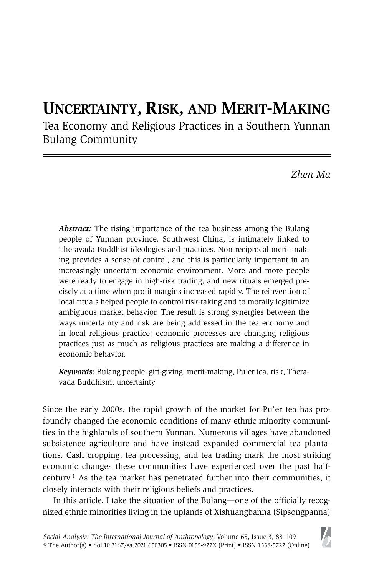# **Uncertainty, Risk, and Merit-Making**

Tea Economy and Religious Practices in a Southern Yunnan Bulang Community

*Zhen Ma* 

*Abstract:* The rising importance of the tea business among the Bulang people of Yunnan province, Southwest China, is intimately linked to Theravada Buddhist ideologies and practices. Non-reciprocal merit-making provides a sense of control, and this is particularly important in an increasingly uncertain economic environment. More and more people were ready to engage in high-risk trading, and new rituals emerged precisely at a time when profit margins increased rapidly. The reinvention of local rituals helped people to control risk-taking and to morally legitimize ambiguous market behavior. The result is strong synergies between the ways uncertainty and risk are being addressed in the tea economy and in local religious practice: economic processes are changing religious practices just as much as religious practices are making a difference in economic behavior.

*Keywords:* Bulang people, gift-giving, merit-making, Pu'er tea, risk, Theravada Buddhism, uncertainty

Since the early 2000s, the rapid growth of the market for Pu'er tea has profoundly changed the economic conditions of many ethnic minority communities in the highlands of southern Yunnan. Numerous villages have abandoned subsistence agriculture and have instead expanded commercial tea plantations. Cash cropping, tea processing, and tea trading mark the most striking economic changes these communities have experienced over the past halfcentury.<sup>1</sup> As the tea market has penetrated further into their communities, it closely interacts with their religious beliefs and practices.

In this article, I take the situation of the Bulang—one of the officially recognized ethnic minorities living in the uplands of Xishuangbanna (Sipsongpanna)

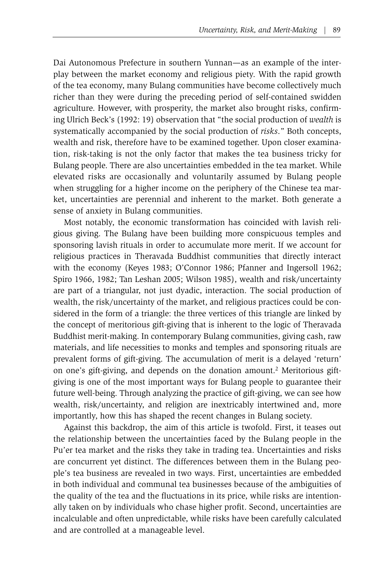Dai Autonomous Prefecture in southern Yunnan—as an example of the interplay between the market economy and religious piety. With the rapid growth of the tea economy, many Bulang communities have become collectively much richer than they were during the preceding period of self-contained swidden agriculture. However, with prosperity, the market also brought risks, confirming Ulrich Beck's (1992: 19) observation that "the social production of *wealth* is systematically accompanied by the social production of *risks*." Both concepts, wealth and risk, therefore have to be examined together. Upon closer examination, risk-taking is not the only factor that makes the tea business tricky for Bulang people. There are also uncertainties embedded in the tea market. While elevated risks are occasionally and voluntarily assumed by Bulang people when struggling for a higher income on the periphery of the Chinese tea market, uncertainties are perennial and inherent to the market. Both generate a sense of anxiety in Bulang communities.

Most notably, the economic transformation has coincided with lavish religious giving. The Bulang have been building more conspicuous temples and sponsoring lavish rituals in order to accumulate more merit. If we account for religious practices in Theravada Buddhist communities that directly interact with the economy (Keyes 1983; O'Connor 1986; Pfanner and Ingersoll 1962; Spiro 1966, 1982; Tan Leshan 2005; Wilson 1985), wealth and risk/uncertainty are part of a triangular, not just dyadic, interaction. The social production of wealth, the risk/uncertainty of the market, and religious practices could be considered in the form of a triangle: the three vertices of this triangle are linked by the concept of meritorious gift-giving that is inherent to the logic of Theravada Buddhist merit-making. In contemporary Bulang communities, giving cash, raw materials, and life necessities to monks and temples and sponsoring rituals are prevalent forms of gift-giving. The accumulation of merit is a delayed 'return' on one's gift-giving, and depends on the donation amount.2 Meritorious giftgiving is one of the most important ways for Bulang people to guarantee their future well-being. Through analyzing the practice of gift-giving, we can see how wealth, risk/uncertainty, and religion are inextricably intertwined and, more importantly, how this has shaped the recent changes in Bulang society.

Against this backdrop, the aim of this article is twofold. First, it teases out the relationship between the uncertainties faced by the Bulang people in the Pu'er tea market and the risks they take in trading tea. Uncertainties and risks are concurrent yet distinct. The differences between them in the Bulang people's tea business are revealed in two ways. First, uncertainties are embedded in both individual and communal tea businesses because of the ambiguities of the quality of the tea and the fluctuations in its price, while risks are intentionally taken on by individuals who chase higher profit. Second, uncertainties are incalculable and often unpredictable, while risks have been carefully calculated and are controlled at a manageable level.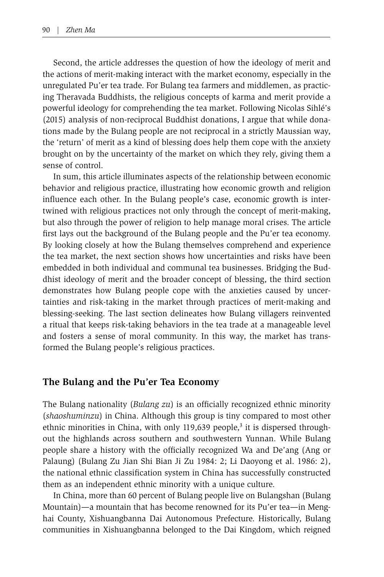Second, the article addresses the question of how the ideology of merit and the actions of merit-making interact with the market economy, especially in the unregulated Pu'er tea trade. For Bulang tea farmers and middlemen, as practicing Theravada Buddhists, the religious concepts of karma and merit provide a powerful ideology for comprehending the tea market. Following Nicolas Sihlé's (2015) analysis of non-reciprocal Buddhist donations, I argue that while donations made by the Bulang people are not reciprocal in a strictly Maussian way, the 'return' of merit as a kind of blessing does help them cope with the anxiety brought on by the uncertainty of the market on which they rely, giving them a sense of control.

In sum, this article illuminates aspects of the relationship between economic behavior and religious practice, illustrating how economic growth and religion influence each other. In the Bulang people's case, economic growth is intertwined with religious practices not only through the concept of merit-making, but also through the power of religion to help manage moral crises. The article first lays out the background of the Bulang people and the Pu'er tea economy. By looking closely at how the Bulang themselves comprehend and experience the tea market, the next section shows how uncertainties and risks have been embedded in both individual and communal tea businesses. Bridging the Buddhist ideology of merit and the broader concept of blessing, the third section demonstrates how Bulang people cope with the anxieties caused by uncertainties and risk-taking in the market through practices of merit-making and blessing-seeking. The last section delineates how Bulang villagers reinvented a ritual that keeps risk-taking behaviors in the tea trade at a manageable level and fosters a sense of moral community. In this way, the market has transformed the Bulang people's religious practices.

#### **The Bulang and the Pu'er Tea Economy**

The Bulang nationality (*Bulang zu*) is an officially recognized ethnic minority (*shaoshuminzu*) in China. Although this group is tiny compared to most other ethnic minorities in China, with only  $119,639$  people,<sup>3</sup> it is dispersed throughout the highlands across southern and southwestern Yunnan. While Bulang people share a history with the officially recognized Wa and De'ang (Ang or Palaung) (Bulang Zu Jian Shi Bian Ji Zu 1984: 2; Li Daoyong et al. 1986: 2), the national ethnic classification system in China has successfully constructed them as an independent ethnic minority with a unique culture.

In China, more than 60 percent of Bulang people live on Bulangshan (Bulang Mountain)—a mountain that has become renowned for its Pu'er tea—in Menghai County, Xishuangbanna Dai Autonomous Prefecture. Historically, Bulang communities in Xishuangbanna belonged to the Dai Kingdom, which reigned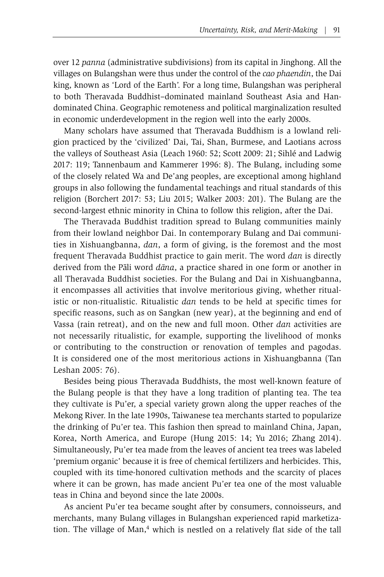over 12 *panna* (administrative subdivisions) from its capital in Jinghong. All the villages on Bulangshan were thus under the control of the *cao phaendin*, the Dai king, known as 'Lord of the Earth'. For a long time, Bulangshan was peripheral to both Theravada Buddhist–dominated mainland Southeast Asia and Handominated China. Geographic remoteness and political marginalization resulted in economic underdevelopment in the region well into the early 2000s.

Many scholars have assumed that Theravada Buddhism is a lowland religion practiced by the 'civilized' Dai, Tai, Shan, Burmese, and Laotians across the valleys of Southeast Asia (Leach 1960: 52; Scott 2009: 21; Sihlé and Ladwig 2017: 119; Tannenbaum and Kammerer 1996: 8). The Bulang, including some of the closely related Wa and De'ang peoples, are exceptional among highland groups in also following the fundamental teachings and ritual standards of this religion (Borchert 2017: 53; Liu 2015; Walker 2003: 201). The Bulang are the second-largest ethnic minority in China to follow this religion, after the Dai.

The Theravada Buddhist tradition spread to Bulang communities mainly from their lowland neighbor Dai. In contemporary Bulang and Dai communities in Xishuangbanna, *dan*, a form of giving, is the foremost and the most frequent Theravada Buddhist practice to gain merit. The word *dan* is directly derived from the Pali word *dana*, a practice shared in one form or another in all Theravada Buddhist societies. For the Bulang and Dai in Xishuangbanna, it encompasses all activities that involve meritorious giving, whether ritualistic or non-ritualistic. Ritualistic *dan* tends to be held at specific times for specific reasons, such as on Sangkan (new year), at the beginning and end of Vassa (rain retreat), and on the new and full moon. Other *dan* activities are not necessarily ritualistic, for example, supporting the livelihood of monks or contributing to the construction or renovation of temples and pagodas. It is considered one of the most meritorious actions in Xishuangbanna (Tan Leshan 2005: 76).

Besides being pious Theravada Buddhists, the most well-known feature of the Bulang people is that they have a long tradition of planting tea. The tea they cultivate is Pu'er, a special variety grown along the upper reaches of the Mekong River. In the late 1990s, Taiwanese tea merchants started to popularize the drinking of Pu'er tea. This fashion then spread to mainland China, Japan, Korea, North America, and Europe (Hung 2015: 14; Yu 2016; Zhang 2014). Simultaneously, Pu'er tea made from the leaves of ancient tea trees was labeled 'premium organic' because it is free of chemical fertilizers and herbicides. This, coupled with its time-honored cultivation methods and the scarcity of places where it can be grown, has made ancient Pu'er tea one of the most valuable teas in China and beyond since the late 2000s.

As ancient Pu'er tea became sought after by consumers, connoisseurs, and merchants, many Bulang villages in Bulangshan experienced rapid marketization. The village of Man,<sup>4</sup> which is nestled on a relatively flat side of the tall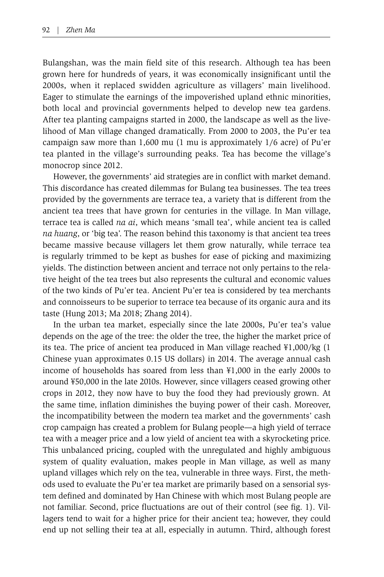Bulangshan, was the main field site of this research. Although tea has been grown here for hundreds of years, it was economically insignificant until the 2000s, when it replaced swidden agriculture as villagers' main livelihood. Eager to stimulate the earnings of the impoverished upland ethnic minorities, both local and provincial governments helped to develop new tea gardens. After tea planting campaigns started in 2000, the landscape as well as the livelihood of Man village changed dramatically. From 2000 to 2003, the Pu'er tea campaign saw more than 1,600 mu (1 mu is approximately 1/6 acre) of Pu'er tea planted in the village's surrounding peaks. Tea has become the village's monocrop since 2012.

However, the governments' aid strategies are in conflict with market demand. This discordance has created dilemmas for Bulang tea businesses. The tea trees provided by the governments are terrace tea, a variety that is different from the ancient tea trees that have grown for centuries in the village. In Man village, terrace tea is called *na ai*, which means 'small tea', while ancient tea is called *na huang*, or 'big tea'. The reason behind this taxonomy is that ancient tea trees became massive because villagers let them grow naturally, while terrace tea is regularly trimmed to be kept as bushes for ease of picking and maximizing yields. The distinction between ancient and terrace not only pertains to the relative height of the tea trees but also represents the cultural and economic values of the two kinds of Pu'er tea. Ancient Pu'er tea is considered by tea merchants and connoisseurs to be superior to terrace tea because of its organic aura and its taste (Hung 2013; Ma 2018; Zhang 2014).

In the urban tea market, especially since the late 2000s, Pu'er tea's value depends on the age of the tree: the older the tree, the higher the market price of its tea. The price of ancient tea produced in Man village reached ¥1,000/kg (1 Chinese yuan approximates 0.15 US dollars) in 2014. The average annual cash income of households has soared from less than ¥1,000 in the early 2000s to around ¥50,000 in the late 2010s. However, since villagers ceased growing other crops in 2012, they now have to buy the food they had previously grown. At the same time, inflation diminishes the buying power of their cash. Moreover, the incompatibility between the modern tea market and the governments' cash crop campaign has created a problem for Bulang people—a high yield of terrace tea with a meager price and a low yield of ancient tea with a skyrocketing price. This unbalanced pricing, coupled with the unregulated and highly ambiguous system of quality evaluation, makes people in Man village, as well as many upland villages which rely on the tea, vulnerable in three ways. First, the methods used to evaluate the Pu'er tea market are primarily based on a sensorial system defined and dominated by Han Chinese with which most Bulang people are not familiar. Second, price fluctuations are out of their control (see fig. 1). Villagers tend to wait for a higher price for their ancient tea; however, they could end up not selling their tea at all, especially in autumn. Third, although forest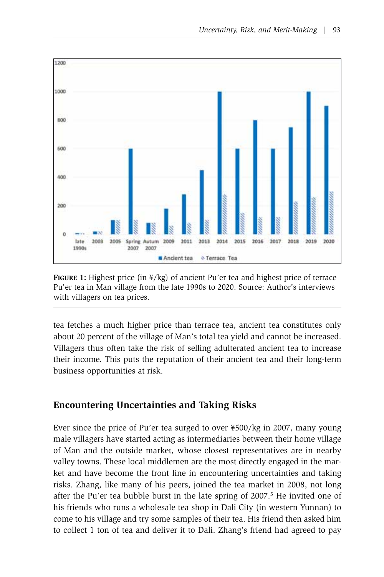

**Figure 1:** Highest price (in ¥/kg) of ancient Pu'er tea and highest price of terrace Pu'er tea in Man village from the late 1990s to 2020. Source: Author's interviews with villagers on tea prices.

tea fetches a much higher price than terrace tea, ancient tea constitutes only about 20 percent of the village of Man's total tea yield and cannot be increased. Villagers thus often take the risk of selling adulterated ancient tea to increase their income. This puts the reputation of their ancient tea and their long-term business opportunities at risk.

# **Encountering Uncertainties and Taking Risks**

Ever since the price of Pu'er tea surged to over ¥500/kg in 2007, many young male villagers have started acting as intermediaries between their home village of Man and the outside market, whose closest representatives are in nearby valley towns. These local middlemen are the most directly engaged in the market and have become the front line in encountering uncertainties and taking risks. Zhang, like many of his peers, joined the tea market in 2008, not long after the Pu'er tea bubble burst in the late spring of  $2007<sup>5</sup>$  He invited one of his friends who runs a wholesale tea shop in Dali City (in western Yunnan) to come to his village and try some samples of their tea. His friend then asked him to collect 1 ton of tea and deliver it to Dali. Zhang's friend had agreed to pay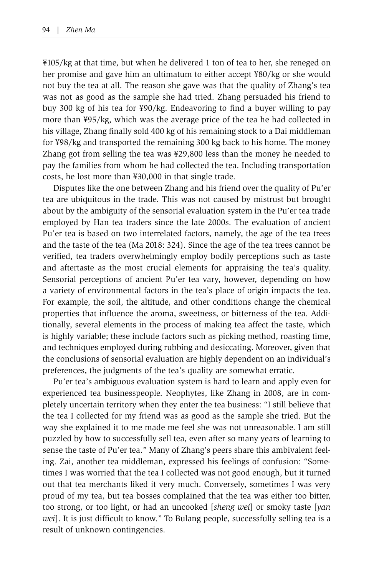¥105/kg at that time, but when he delivered 1 ton of tea to her, she reneged on her promise and gave him an ultimatum to either accept ¥80/kg or she would not buy the tea at all. The reason she gave was that the quality of Zhang's tea was not as good as the sample she had tried. Zhang persuaded his friend to buy 300 kg of his tea for ¥90/kg. Endeavoring to find a buyer willing to pay more than ¥95/kg, which was the average price of the tea he had collected in his village, Zhang finally sold 400 kg of his remaining stock to a Dai middleman for ¥98/kg and transported the remaining 300 kg back to his home. The money Zhang got from selling the tea was ¥29,800 less than the money he needed to pay the families from whom he had collected the tea. Including transportation costs, he lost more than ¥30,000 in that single trade.

Disputes like the one between Zhang and his friend over the quality of Pu'er tea are ubiquitous in the trade. This was not caused by mistrust but brought about by the ambiguity of the sensorial evaluation system in the Pu'er tea trade employed by Han tea traders since the late 2000s. The evaluation of ancient Pu'er tea is based on two interrelated factors, namely, the age of the tea trees and the taste of the tea (Ma 2018: 324). Since the age of the tea trees cannot be verified, tea traders overwhelmingly employ bodily perceptions such as taste and aftertaste as the most crucial elements for appraising the tea's quality. Sensorial perceptions of ancient Pu'er tea vary, however, depending on how a variety of environmental factors in the tea's place of origin impacts the tea. For example, the soil, the altitude, and other conditions change the chemical properties that influence the aroma, sweetness, or bitterness of the tea. Additionally, several elements in the process of making tea affect the taste, which is highly variable; these include factors such as picking method, roasting time, and techniques employed during rubbing and desiccating. Moreover, given that the conclusions of sensorial evaluation are highly dependent on an individual's preferences, the judgments of the tea's quality are somewhat erratic.

Pu'er tea's ambiguous evaluation system is hard to learn and apply even for experienced tea businesspeople. Neophytes, like Zhang in 2008, are in completely uncertain territory when they enter the tea business: "I still believe that the tea I collected for my friend was as good as the sample she tried. But the way she explained it to me made me feel she was not unreasonable. I am still puzzled by how to successfully sell tea, even after so many years of learning to sense the taste of Pu'er tea." Many of Zhang's peers share this ambivalent feeling. Zai, another tea middleman, expressed his feelings of confusion: "Sometimes I was worried that the tea I collected was not good enough, but it turned out that tea merchants liked it very much. Conversely, sometimes I was very proud of my tea, but tea bosses complained that the tea was either too bitter, too strong, or too light, or had an uncooked [*sheng wei*] or smoky taste [*yan wei*]. It is just difficult to know." To Bulang people, successfully selling tea is a result of unknown contingencies.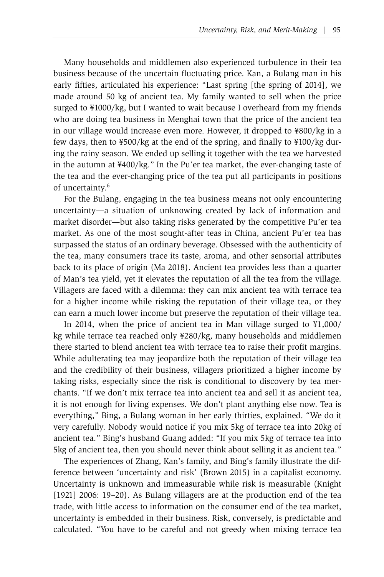Many households and middlemen also experienced turbulence in their tea business because of the uncertain fluctuating price. Kan, a Bulang man in his early fifties, articulated his experience: "Last spring [the spring of 2014], we made around 50 kg of ancient tea. My family wanted to sell when the price surged to ¥1000/kg, but I wanted to wait because I overheard from my friends who are doing tea business in Menghai town that the price of the ancient tea in our village would increase even more. However, it dropped to ¥800/kg in a few days, then to ¥500/kg at the end of the spring, and finally to ¥100/kg during the rainy season. We ended up selling it together with the tea we harvested in the autumn at ¥400/kg." In the Pu'er tea market, the ever-changing taste of the tea and the ever-changing price of the tea put all participants in positions of uncertainty.6

For the Bulang, engaging in the tea business means not only encountering uncertainty—a situation of unknowing created by lack of information and market disorder—but also taking risks generated by the competitive Pu'er tea market. As one of the most sought-after teas in China, ancient Pu'er tea has surpassed the status of an ordinary beverage. Obsessed with the authenticity of the tea, many consumers trace its taste, aroma, and other sensorial attributes back to its place of origin (Ma 2018). Ancient tea provides less than a quarter of Man's tea yield, yet it elevates the reputation of all the tea from the village. Villagers are faced with a dilemma: they can mix ancient tea with terrace tea for a higher income while risking the reputation of their village tea, or they can earn a much lower income but preserve the reputation of their village tea.

In 2014, when the price of ancient tea in Man village surged to ¥1,000/ kg while terrace tea reached only ¥280/kg, many households and middlemen there started to blend ancient tea with terrace tea to raise their profit margins. While adulterating tea may jeopardize both the reputation of their village tea and the credibility of their business, villagers prioritized a higher income by taking risks, especially since the risk is conditional to discovery by tea merchants. "If we don't mix terrace tea into ancient tea and sell it as ancient tea, it is not enough for living expenses. We don't plant anything else now. Tea is everything," Bing, a Bulang woman in her early thirties, explained. "We do it very carefully. Nobody would notice if you mix 5kg of terrace tea into 20kg of ancient tea." Bing's husband Guang added: "If you mix 5kg of terrace tea into 5kg of ancient tea, then you should never think about selling it as ancient tea."

The experiences of Zhang, Kan's family, and Bing's family illustrate the difference between 'uncertainty and risk' (Brown 2015) in a capitalist economy. Uncertainty is unknown and immeasurable while risk is measurable (Knight [1921] 2006: 19–20). As Bulang villagers are at the production end of the tea trade, with little access to information on the consumer end of the tea market, uncertainty is embedded in their business. Risk, conversely, is predictable and calculated. "You have to be careful and not greedy when mixing terrace tea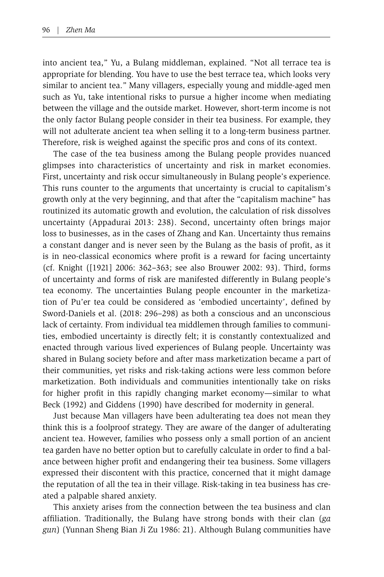into ancient tea," Yu, a Bulang middleman, explained. "Not all terrace tea is appropriate for blending. You have to use the best terrace tea, which looks very similar to ancient tea." Many villagers, especially young and middle-aged men such as Yu, take intentional risks to pursue a higher income when mediating between the village and the outside market. However, short-term income is not the only factor Bulang people consider in their tea business. For example, they will not adulterate ancient tea when selling it to a long-term business partner. Therefore, risk is weighed against the specific pros and cons of its context.

The case of the tea business among the Bulang people provides nuanced glimpses into characteristics of uncertainty and risk in market economies. First, uncertainty and risk occur simultaneously in Bulang people's experience. This runs counter to the arguments that uncertainty is crucial to capitalism's growth only at the very beginning, and that after the "capitalism machine" has routinized its automatic growth and evolution, the calculation of risk dissolves uncertainty (Appadurai 2013: 238). Second, uncertainty often brings major loss to businesses, as in the cases of Zhang and Kan. Uncertainty thus remains a constant danger and is never seen by the Bulang as the basis of profit, as it is in neo-classical economics where profit is a reward for facing uncertainty (cf. Knight ([1921] 2006: 362–363; see also Brouwer 2002: 93). Third, forms of uncertainty and forms of risk are manifested differently in Bulang people's tea economy. The uncertainties Bulang people encounter in the marketization of Pu'er tea could be considered as 'embodied uncertainty', defined by Sword-Daniels et al. (2018: 296–298) as both a conscious and an unconscious lack of certainty. From individual tea middlemen through families to communities, embodied uncertainty is directly felt; it is constantly contextualized and enacted through various lived experiences of Bulang people. Uncertainty was shared in Bulang society before and after mass marketization became a part of their communities, yet risks and risk-taking actions were less common before marketization. Both individuals and communities intentionally take on risks for higher profit in this rapidly changing market economy—similar to what Beck (1992) and Giddens (1990) have described for modernity in general.

Just because Man villagers have been adulterating tea does not mean they think this is a foolproof strategy. They are aware of the danger of adulterating ancient tea. However, families who possess only a small portion of an ancient tea garden have no better option but to carefully calculate in order to find a balance between higher profit and endangering their tea business. Some villagers expressed their discontent with this practice, concerned that it might damage the reputation of all the tea in their village. Risk-taking in tea business has created a palpable shared anxiety.

This anxiety arises from the connection between the tea business and clan affiliation. Traditionally, the Bulang have strong bonds with their clan (*ga gun*) (Yunnan Sheng Bian Ji Zu 1986: 21). Although Bulang communities have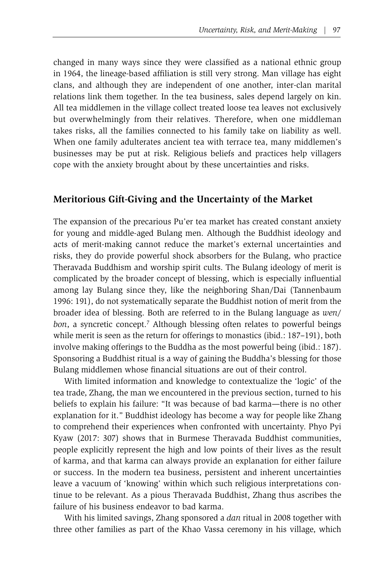changed in many ways since they were classified as a national ethnic group in 1964, the lineage-based affiliation is still very strong. Man village has eight clans, and although they are independent of one another, inter-clan marital relations link them together. In the tea business, sales depend largely on kin. All tea middlemen in the village collect treated loose tea leaves not exclusively but overwhelmingly from their relatives. Therefore, when one middleman takes risks, all the families connected to his family take on liability as well. When one family adulterates ancient tea with terrace tea, many middlemen's businesses may be put at risk. Religious beliefs and practices help villagers cope with the anxiety brought about by these uncertainties and risks.

#### **Meritorious Gift-Giving and the Uncertainty of the Market**

The expansion of the precarious Pu'er tea market has created constant anxiety for young and middle-aged Bulang men. Although the Buddhist ideology and acts of merit-making cannot reduce the market's external uncertainties and risks, they do provide powerful shock absorbers for the Bulang, who practice Theravada Buddhism and worship spirit cults. The Bulang ideology of merit is complicated by the broader concept of blessing, which is especially influential among lay Bulang since they, like the neighboring Shan/Dai (Tannenbaum 1996: 191), do not systematically separate the Buddhist notion of merit from the broader idea of blessing. Both are referred to in the Bulang language as *wen*/ *bon*, a syncretic concept.7 Although blessing often relates to powerful beings while merit is seen as the return for offerings to monastics (ibid.: 187–191), both involve making offerings to the Buddha as the most powerful being (ibid.: 187). Sponsoring a Buddhist ritual is a way of gaining the Buddha's blessing for those Bulang middlemen whose financial situations are out of their control.

With limited information and knowledge to contextualize the 'logic' of the tea trade, Zhang, the man we encountered in the previous section, turned to his beliefs to explain his failure: "It was because of bad karma—there is no other explanation for it." Buddhist ideology has become a way for people like Zhang to comprehend their experiences when confronted with uncertainty. Phyo Pyi Kyaw (2017: 307) shows that in Burmese Theravada Buddhist communities, people explicitly represent the high and low points of their lives as the result of karma, and that karma can always provide an explanation for either failure or success. In the modern tea business, persistent and inherent uncertainties leave a vacuum of 'knowing' within which such religious interpretations continue to be relevant. As a pious Theravada Buddhist, Zhang thus ascribes the failure of his business endeavor to bad karma.

With his limited savings, Zhang sponsored a *dan* ritual in 2008 together with three other families as part of the Khao Vassa ceremony in his village, which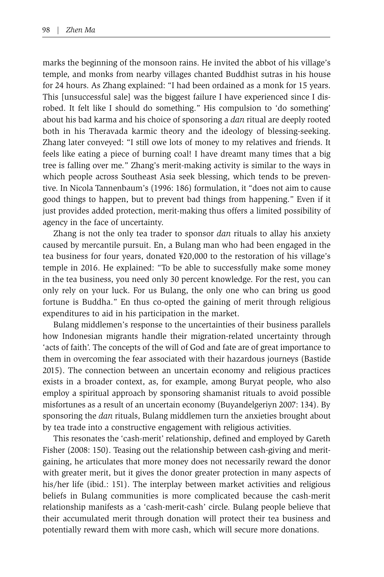marks the beginning of the monsoon rains. He invited the abbot of his village's temple, and monks from nearby villages chanted Buddhist sutras in his house for 24 hours. As Zhang explained: "I had been ordained as a monk for 15 years. This [unsuccessful sale] was the biggest failure I have experienced since I disrobed. It felt like I should do something." His compulsion to 'do something' about his bad karma and his choice of sponsoring a *dan* ritual are deeply rooted both in his Theravada karmic theory and the ideology of blessing-seeking. Zhang later conveyed: "I still owe lots of money to my relatives and friends. It feels like eating a piece of burning coal! I have dreamt many times that a big tree is falling over me." Zhang's merit-making activity is similar to the ways in which people across Southeast Asia seek blessing, which tends to be preventive. In Nicola Tannenbaum's (1996: 186) formulation, it "does not aim to cause good things to happen, but to prevent bad things from happening." Even if it just provides added protection, merit-making thus offers a limited possibility of agency in the face of uncertainty.

Zhang is not the only tea trader to sponsor *dan* rituals to allay his anxiety caused by mercantile pursuit. En, a Bulang man who had been engaged in the tea business for four years, donated ¥20,000 to the restoration of his village's temple in 2016. He explained: "To be able to successfully make some money in the tea business, you need only 30 percent knowledge. For the rest, you can only rely on your luck. For us Bulang, the only one who can bring us good fortune is Buddha." En thus co-opted the gaining of merit through religious expenditures to aid in his participation in the market.

Bulang middlemen's response to the uncertainties of their business parallels how Indonesian migrants handle their migration-related uncertainty through 'acts of faith'. The concepts of the will of God and fate are of great importance to them in overcoming the fear associated with their hazardous journeys (Bastide 2015). The connection between an uncertain economy and religious practices exists in a broader context, as, for example, among Buryat people, who also employ a spiritual approach by sponsoring shamanist rituals to avoid possible misfortunes as a result of an uncertain economy (Buyandelgeriyn 2007: 134). By sponsoring the *dan* rituals, Bulang middlemen turn the anxieties brought about by tea trade into a constructive engagement with religious activities.

This resonates the 'cash-merit' relationship, defined and employed by Gareth Fisher (2008: 150). Teasing out the relationship between cash-giving and meritgaining, he articulates that more money does not necessarily reward the donor with greater merit, but it gives the donor greater protection in many aspects of his/her life (ibid.: 151). The interplay between market activities and religious beliefs in Bulang communities is more complicated because the cash-merit relationship manifests as a 'cash-merit-cash' circle. Bulang people believe that their accumulated merit through donation will protect their tea business and potentially reward them with more cash, which will secure more donations.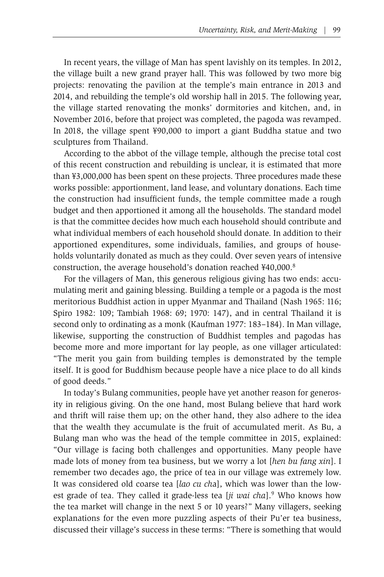In recent years, the village of Man has spent lavishly on its temples. In 2012, the village built a new grand prayer hall. This was followed by two more big projects: renovating the pavilion at the temple's main entrance in 2013 and 2014, and rebuilding the temple's old worship hall in 2015. The following year, the village started renovating the monks' dormitories and kitchen, and, in November 2016, before that project was completed, the pagoda was revamped. In 2018, the village spent ¥90,000 to import a giant Buddha statue and two sculptures from Thailand.

According to the abbot of the village temple, although the precise total cost of this recent construction and rebuilding is unclear, it is estimated that more than ¥3,000,000 has been spent on these projects. Three procedures made these works possible: apportionment, land lease, and voluntary donations. Each time the construction had insufficient funds, the temple committee made a rough budget and then apportioned it among all the households. The standard model is that the committee decides how much each household should contribute and what individual members of each household should donate. In addition to their apportioned expenditures, some individuals, families, and groups of households voluntarily donated as much as they could. Over seven years of intensive construction, the average household's donation reached ¥40,000.8

For the villagers of Man, this generous religious giving has two ends: accumulating merit and gaining blessing. Building a temple or a pagoda is the most meritorious Buddhist action in upper Myanmar and Thailand (Nash 1965: 116; Spiro 1982: 109; Tambiah 1968: 69; 1970: 147), and in central Thailand it is second only to ordinating as a monk (Kaufman 1977: 183–184). In Man village, likewise, supporting the construction of Buddhist temples and pagodas has become more and more important for lay people, as one villager articulated: "The merit you gain from building temples is demonstrated by the temple itself. It is good for Buddhism because people have a nice place to do all kinds of good deeds."

In today's Bulang communities, people have yet another reason for generosity in religious giving. On the one hand, most Bulang believe that hard work and thrift will raise them up; on the other hand, they also adhere to the idea that the wealth they accumulate is the fruit of accumulated merit. As Bu, a Bulang man who was the head of the temple committee in 2015, explained: "Our village is facing both challenges and opportunities. Many people have made lots of money from tea business, but we worry a lot [*hen bu fang xin*]. I remember two decades ago, the price of tea in our village was extremely low. It was considered old coarse tea [*lao cu ch*a], which was lower than the lowest grade of tea. They called it grade-less tea [*ji wai cha*].9 Who knows how the tea market will change in the next 5 or 10 years?" Many villagers, seeking explanations for the even more puzzling aspects of their Pu'er tea business, discussed their village's success in these terms: "There is something that would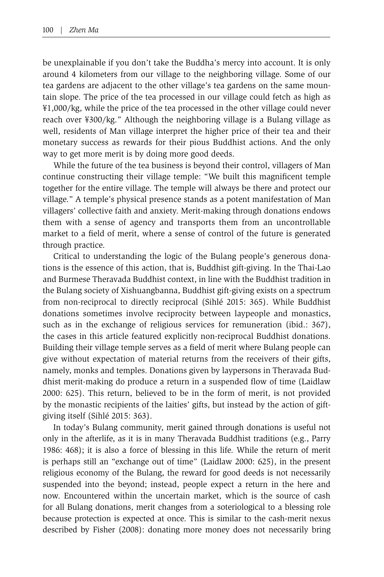be unexplainable if you don't take the Buddha's mercy into account. It is only around 4 kilometers from our village to the neighboring village. Some of our tea gardens are adjacent to the other village's tea gardens on the same mountain slope. The price of the tea processed in our village could fetch as high as ¥1,000/kg, while the price of the tea processed in the other village could never reach over ¥300/kg." Although the neighboring village is a Bulang village as well, residents of Man village interpret the higher price of their tea and their monetary success as rewards for their pious Buddhist actions. And the only way to get more merit is by doing more good deeds.

While the future of the tea business is beyond their control, villagers of Man continue constructing their village temple: "We built this magnificent temple together for the entire village. The temple will always be there and protect our village." A temple's physical presence stands as a potent manifestation of Man villagers' collective faith and anxiety. Merit-making through donations endows them with a sense of agency and transports them from an uncontrollable market to a field of merit, where a sense of control of the future is generated through practice.

Critical to understanding the logic of the Bulang people's generous donations is the essence of this action, that is, Buddhist gift-giving. In the Thai-Lao and Burmese Theravada Buddhist context, in line with the Buddhist tradition in the Bulang society of Xishuangbanna, Buddhist gift-giving exists on a spectrum from non-reciprocal to directly reciprocal (Sihlé 2015: 365). While Buddhist donations sometimes involve reciprocity between laypeople and monastics, such as in the exchange of religious services for remuneration (ibid.: 367), the cases in this article featured explicitly non-reciprocal Buddhist donations. Building their village temple serves as a field of merit where Bulang people can give without expectation of material returns from the receivers of their gifts, namely, monks and temples. Donations given by laypersons in Theravada Buddhist merit-making do produce a return in a suspended flow of time (Laidlaw 2000: 625). This return, believed to be in the form of merit, is not provided by the monastic recipients of the laities' gifts, but instead by the action of giftgiving itself (Sihlé 2015: 363).

In today's Bulang community, merit gained through donations is useful not only in the afterlife, as it is in many Theravada Buddhist traditions (e.g., Parry 1986: 468); it is also a force of blessing in this life. While the return of merit is perhaps still an "exchange out of time" (Laidlaw 2000: 625), in the present religious economy of the Bulang, the reward for good deeds is not necessarily suspended into the beyond; instead, people expect a return in the here and now. Encountered within the uncertain market, which is the source of cash for all Bulang donations, merit changes from a soteriological to a blessing role because protection is expected at once. This is similar to the cash-merit nexus described by Fisher (2008): donating more money does not necessarily bring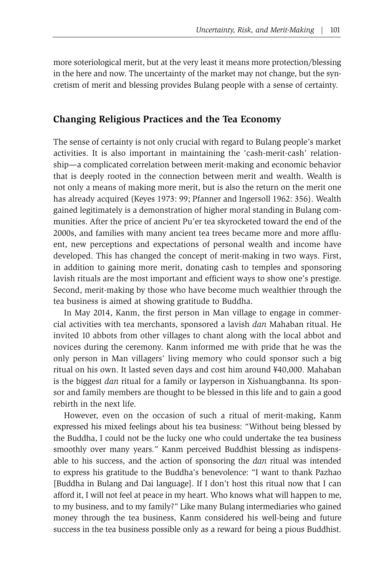more soteriological merit, but at the very least it means more protection/blessing in the here and now. The uncertainty of the market may not change, but the syncretism of merit and blessing provides Bulang people with a sense of certainty.

#### **Changing Religious Practices and the Tea Economy**

The sense of certainty is not only crucial with regard to Bulang people's market activities. It is also important in maintaining the 'cash-merit-cash' relationship—a complicated correlation between merit-making and economic behavior that is deeply rooted in the connection between merit and wealth. Wealth is not only a means of making more merit, but is also the return on the merit one has already acquired (Keyes 1973: 99; Pfanner and Ingersoll 1962: 356). Wealth gained legitimately is a demonstration of higher moral standing in Bulang communities. After the price of ancient Pu'er tea skyrocketed toward the end of the 2000s, and families with many ancient tea trees became more and more affluent, new perceptions and expectations of personal wealth and income have developed. This has changed the concept of merit-making in two ways. First, in addition to gaining more merit, donating cash to temples and sponsoring lavish rituals are the most important and efficient ways to show one's prestige. Second, merit-making by those who have become much wealthier through the tea business is aimed at showing gratitude to Buddha.

In May 2014, Kanm, the first person in Man village to engage in commercial activities with tea merchants, sponsored a lavish *dan* Mahaban ritual. He invited 10 abbots from other villages to chant along with the local abbot and novices during the ceremony. Kanm informed me with pride that he was the only person in Man villagers' living memory who could sponsor such a big ritual on his own. It lasted seven days and cost him around ¥40,000. Mahaban is the biggest *dan* ritual for a family or layperson in Xishuangbanna. Its sponsor and family members are thought to be blessed in this life and to gain a good rebirth in the next life.

However, even on the occasion of such a ritual of merit-making, Kanm expressed his mixed feelings about his tea business: "Without being blessed by the Buddha, I could not be the lucky one who could undertake the tea business smoothly over many years." Kanm perceived Buddhist blessing as indispensable to his success, and the action of sponsoring the *dan* ritual was intended to express his gratitude to the Buddha's benevolence: "I want to thank Pazhao [Buddha in Bulang and Dai language]. If I don't host this ritual now that I can afford it, I will not feel at peace in my heart. Who knows what will happen to me, to my business, and to my family?" Like many Bulang intermediaries who gained money through the tea business, Kanm considered his well-being and future success in the tea business possible only as a reward for being a pious Buddhist.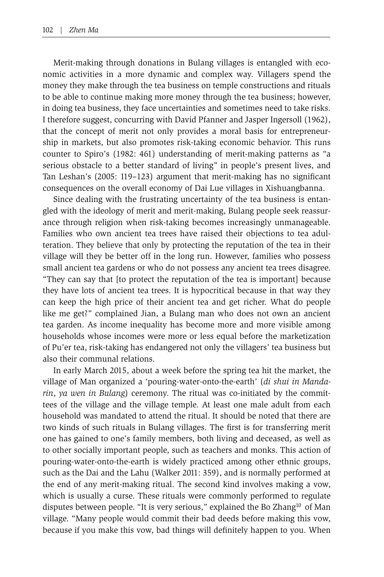Merit-making through donations in Bulang villages is entangled with economic activities in a more dynamic and complex way. Villagers spend the money they make through the tea business on temple constructions and rituals to be able to continue making more money through the tea business; however, in doing tea business, they face uncertainties and sometimes need to take risks. I therefore suggest, concurring with David Pfanner and Jasper Ingersoll (1962), that the concept of merit not only provides a moral basis for entrepreneurship in markets, but also promotes risk-taking economic behavior. This runs counter to Spiro's (1982: 461) understanding of merit-making patterns as "a serious obstacle to a better standard of living" in people's present lives, and Tan Leshan's (2005: 119–123) argument that merit-making has no significant consequences on the overall economy of Dai Lue villages in Xishuangbanna.

Since dealing with the frustrating uncertainty of the tea business is entangled with the ideology of merit and merit-making, Bulang people seek reassurance through religion when risk-taking becomes increasingly unmanageable. Families who own ancient tea trees have raised their objections to tea adulteration. They believe that only by protecting the reputation of the tea in their village will they be better off in the long run. However, families who possess small ancient tea gardens or who do not possess any ancient tea trees disagree. "They can say that [to protect the reputation of the tea is important] because they have lots of ancient tea trees. It is hypocritical because in that way they can keep the high price of their ancient tea and get richer. What do people like me get?" complained Jian, a Bulang man who does not own an ancient tea garden. As income inequality has become more and more visible among households whose incomes were more or less equal before the marketization of Pu'er tea, risk-taking has endangered not only the villagers' tea business but also their communal relations.

In early March 2015, about a week before the spring tea hit the market, the village of Man organized a 'pouring-water-onto-the-earth' (*di shui in Mandarin*, *ya wen in Bulang*) ceremony. The ritual was co-initiated by the committees of the village and the village temple. At least one male adult from each household was mandated to attend the ritual. It should be noted that there are two kinds of such rituals in Bulang villages. The first is for transferring merit one has gained to one's family members, both living and deceased, as well as to other socially important people, such as teachers and monks. This action of pouring-water-onto-the-earth is widely practiced among other ethnic groups, such as the Dai and the Lahu (Walker 2011: 359), and is normally performed at the end of any merit-making ritual. The second kind involves making a vow, which is usually a curse. These rituals were commonly performed to regulate disputes between people. "It is very serious," explained the Bo Zhang<sup>10</sup> of Man village. "Many people would commit their bad deeds before making this vow, because if you make this vow, bad things will definitely happen to you. When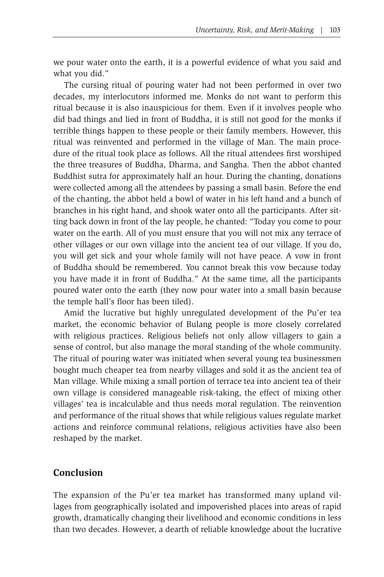we pour water onto the earth, it is a powerful evidence of what you said and what you did."

The cursing ritual of pouring water had not been performed in over two decades, my interlocutors informed me. Monks do not want to perform this ritual because it is also inauspicious for them. Even if it involves people who did bad things and lied in front of Buddha, it is still not good for the monks if terrible things happen to these people or their family members. However, this ritual was reinvented and performed in the village of Man. The main procedure of the ritual took place as follows. All the ritual attendees first worshiped the three treasures of Buddha, Dharma, and Sangha. Then the abbot chanted Buddhist sutra for approximately half an hour. During the chanting, donations were collected among all the attendees by passing a small basin. Before the end of the chanting, the abbot held a bowl of water in his left hand and a bunch of branches in his right hand, and shook water onto all the participants. After sitting back down in front of the lay people, he chanted: "Today you come to pour water on the earth. All of you must ensure that you will not mix any terrace of other villages or our own village into the ancient tea of our village. If you do, you will get sick and your whole family will not have peace. A vow in front of Buddha should be remembered. You cannot break this vow because today you have made it in front of Buddha." At the same time, all the participants poured water onto the earth (they now pour water into a small basin because the temple hall's floor has been tiled).

Amid the lucrative but highly unregulated development of the Pu'er tea market, the economic behavior of Bulang people is more closely correlated with religious practices. Religious beliefs not only allow villagers to gain a sense of control, but also manage the moral standing of the whole community. The ritual of pouring water was initiated when several young tea businessmen bought much cheaper tea from nearby villages and sold it as the ancient tea of Man village. While mixing a small portion of terrace tea into ancient tea of their own village is considered manageable risk-taking, the effect of mixing other villages' tea is incalculable and thus needs moral regulation. The reinvention and performance of the ritual shows that while religious values regulate market actions and reinforce communal relations, religious activities have also been reshaped by the market.

# **Conclusion**

The expansion of the Pu'er tea market has transformed many upland villages from geographically isolated and impoverished places into areas of rapid growth, dramatically changing their livelihood and economic conditions in less than two decades. However, a dearth of reliable knowledge about the lucrative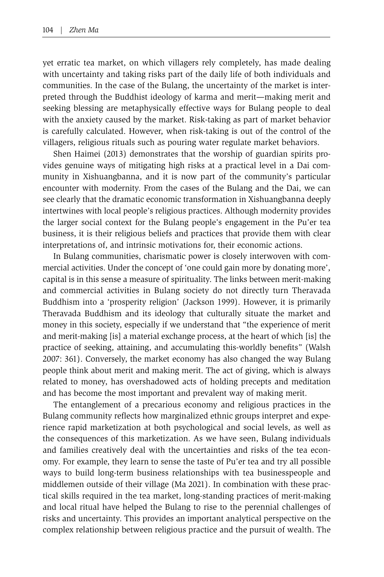yet erratic tea market, on which villagers rely completely, has made dealing with uncertainty and taking risks part of the daily life of both individuals and communities. In the case of the Bulang, the uncertainty of the market is interpreted through the Buddhist ideology of karma and merit—making merit and seeking blessing are metaphysically effective ways for Bulang people to deal with the anxiety caused by the market. Risk-taking as part of market behavior is carefully calculated. However, when risk-taking is out of the control of the villagers, religious rituals such as pouring water regulate market behaviors.

Shen Haimei (2013) demonstrates that the worship of guardian spirits provides genuine ways of mitigating high risks at a practical level in a Dai community in Xishuangbanna, and it is now part of the community's particular encounter with modernity. From the cases of the Bulang and the Dai, we can see clearly that the dramatic economic transformation in Xishuangbanna deeply intertwines with local people's religious practices. Although modernity provides the larger social context for the Bulang people's engagement in the Pu'er tea business, it is their religious beliefs and practices that provide them with clear interpretations of, and intrinsic motivations for, their economic actions.

In Bulang communities, charismatic power is closely interwoven with commercial activities. Under the concept of 'one could gain more by donating more', capital is in this sense a measure of spirituality. The links between merit-making and commercial activities in Bulang society do not directly turn Theravada Buddhism into a 'prosperity religion' (Jackson 1999). However, it is primarily Theravada Buddhism and its ideology that culturally situate the market and money in this society, especially if we understand that "the experience of merit and merit-making [is] a material exchange process, at the heart of which [is] the practice of seeking, attaining, and accumulating this-worldly benefits" (Walsh 2007: 361). Conversely, the market economy has also changed the way Bulang people think about merit and making merit. The act of giving, which is always related to money, has overshadowed acts of holding precepts and meditation and has become the most important and prevalent way of making merit.

The entanglement of a precarious economy and religious practices in the Bulang community reflects how marginalized ethnic groups interpret and experience rapid marketization at both psychological and social levels, as well as the consequences of this marketization. As we have seen, Bulang individuals and families creatively deal with the uncertainties and risks of the tea economy. For example, they learn to sense the taste of Pu'er tea and try all possible ways to build long-term business relationships with tea businesspeople and middlemen outside of their village (Ma 2021). In combination with these practical skills required in the tea market, long-standing practices of merit-making and local ritual have helped the Bulang to rise to the perennial challenges of risks and uncertainty. This provides an important analytical perspective on the complex relationship between religious practice and the pursuit of wealth. The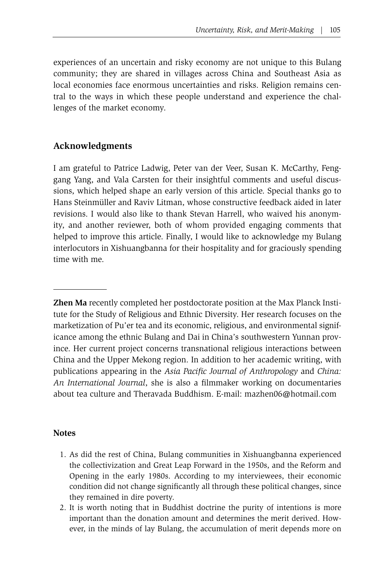experiences of an uncertain and risky economy are not unique to this Bulang community; they are shared in villages across China and Southeast Asia as local economies face enormous uncertainties and risks. Religion remains central to the ways in which these people understand and experience the challenges of the market economy.

## **Acknowledgments**

I am grateful to Patrice Ladwig, Peter van der Veer, Susan K. McCarthy, Fenggang Yang, and Vala Carsten for their insightful comments and useful discussions, which helped shape an early version of this article. Special thanks go to Hans Steinmüller and Raviv Litman, whose constructive feedback aided in later revisions. I would also like to thank Stevan Harrell, who waived his anonymity, and another reviewer, both of whom provided engaging comments that helped to improve this article. Finally, I would like to acknowledge my Bulang interlocutors in Xishuangbanna for their hospitality and for graciously spending time with me.

**Zhen Ma** recently completed her postdoctorate position at the Max Planck Institute for the Study of Religious and Ethnic Diversity. Her research focuses on the marketization of Pu'er tea and its economic, religious, and environmental significance among the ethnic Bulang and Dai in China's southwestern Yunnan province. Her current project concerns transnational religious interactions between China and the Upper Mekong region. In addition to her academic writing, with publications appearing in the *Asia Pacific Journal of Anthropology* and *China: An International Journal*, she is also a filmmaker working on documentaries about tea culture and Theravada Buddhism. E-mail: mazhen06@hotmail.com

## **Notes**

- 1. As did the rest of China, Bulang communities in Xishuangbanna experienced the collectivization and Great Leap Forward in the 1950s, and the Reform and Opening in the early 1980s. According to my interviewees, their economic condition did not change significantly all through these political changes, since they remained in dire poverty.
- 2. It is worth noting that in Buddhist doctrine the purity of intentions is more important than the donation amount and determines the merit derived. However, in the minds of lay Bulang, the accumulation of merit depends more on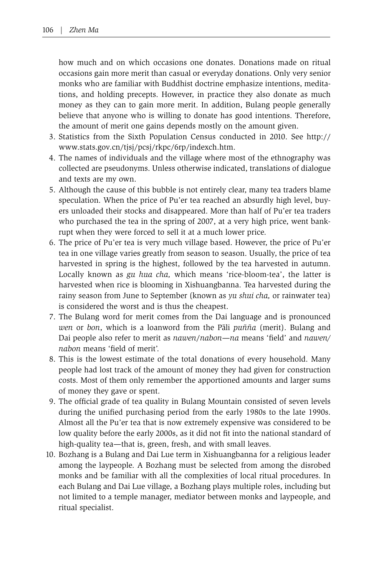how much and on which occasions one donates. Donations made on ritual occasions gain more merit than casual or everyday donations. Only very senior monks who are familiar with Buddhist doctrine emphasize intentions, meditations, and holding precepts. However, in practice they also donate as much money as they can to gain more merit. In addition, Bulang people generally believe that anyone who is willing to donate has good intentions. Therefore, the amount of merit one gains depends mostly on the amount given.

- 3. Statistics from the Sixth Population Census conducted in 2010. See http:// www.stats.gov.cn/tjsj/pcsj/rkpc/6rp/indexch.htm.
- 4. The names of individuals and the village where most of the ethnography was collected are pseudonyms. Unless otherwise indicated, translations of dialogue and texts are my own.
- 5. Although the cause of this bubble is not entirely clear, many tea traders blame speculation. When the price of Pu'er tea reached an absurdly high level, buyers unloaded their stocks and disappeared. More than half of Pu'er tea traders who purchased the tea in the spring of 2007, at a very high price, went bankrupt when they were forced to sell it at a much lower price.
- 6. The price of Pu'er tea is very much village based. However, the price of Pu'er tea in one village varies greatly from season to season. Usually, the price of tea harvested in spring is the highest, followed by the tea harvested in autumn. Locally known as *gu hua cha*, which means 'rice-bloom-tea', the latter is harvested when rice is blooming in Xishuangbanna. Tea harvested during the rainy season from June to September (known as *yu shui cha,* or rainwater tea) is considered the worst and is thus the cheapest.
- 7. The Bulang word for merit comes from the Dai language and is pronounced *wen* or *bon*, which is a loanword from the Pali *puñña* (merit). Bulang and Dai people also refer to merit as *nawen*/*nabon*—*na* means 'field' and *nawen/ nabon* means 'field of merit'.
- 8. This is the lowest estimate of the total donations of every household. Many people had lost track of the amount of money they had given for construction costs. Most of them only remember the apportioned amounts and larger sums of money they gave or spent.
- 9. The official grade of tea quality in Bulang Mountain consisted of seven levels during the unified purchasing period from the early 1980s to the late 1990s. Almost all the Pu'er tea that is now extremely expensive was considered to be low quality before the early 2000s, as it did not fit into the national standard of high-quality tea—that is, green, fresh, and with small leaves.
- 10. Bozhang is a Bulang and Dai Lue term in Xishuangbanna for a religious leader among the laypeople. A Bozhang must be selected from among the disrobed monks and be familiar with all the complexities of local ritual procedures. In each Bulang and Dai Lue village, a Bozhang plays multiple roles, including but not limited to a temple manager, mediator between monks and laypeople, and ritual specialist.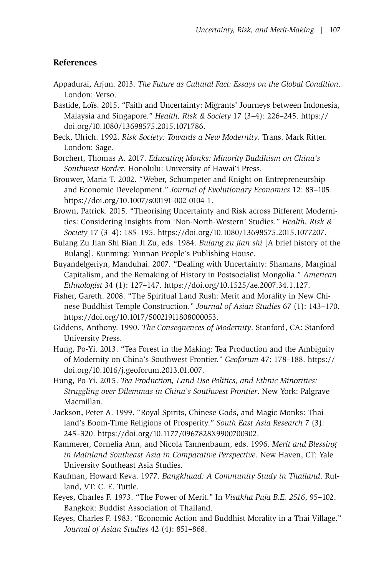#### **References**

- Appadurai, Arjun. 2013. *The Future as Cultural Fact: Essays on the Global Condition*. London: Verso.
- Bastide, Loïs. 2015. "Faith and Uncertainty: Migrants' Journeys between Indonesia, Malaysia and Singapore." *Health, Risk & Society* 17 (3–4): 226–245. https:// doi.org/10.1080/13698575.2015.1071786.
- Beck, Ulrich. 1992. *Risk Society: Towards a New Modernity*. Trans. Mark Ritter. London: Sage.
- Borchert, Thomas A. 2017. *Educating Monks: Minority Buddhism on China's Southwest Border*. Honolulu: University of Hawai'i Press.
- Brouwer, Maria T. 2002. "Weber, Schumpeter and Knight on Entrepreneurship and Economic Development." *Journal of Evolutionary Economics* 12: 83–105. https://doi.org/10.1007/s00191-002-0104-1.
- Brown, Patrick. 2015. "Theorising Uncertainty and Risk across Different Modernities: Considering Insights from 'Non-North-Western' Studies." *Health, Risk & Society* 17 (3–4): 185–195. https://doi.org/10.1080/13698575.2015.1077207.
- Bulang Zu Jian Shi Bian Ji Zu, eds. 1984. *Bulang zu jian shi* [A brief history of the Bulang]. Kunming: Yunnan People's Publishing House.
- Buyandelgeriyn, Manduhai. 2007. "Dealing with Uncertainty: Shamans, Marginal Capitalism, and the Remaking of History in Postsocialist Mongolia." *American Ethnologist* 34 (1): 127–147. https://doi.org/10.1525/ae.2007.34.1.127.
- Fisher, Gareth. 2008. "The Spiritual Land Rush: Merit and Morality in New Chinese Buddhist Temple Construction." *Journal of Asian Studies* 67 (1): 143–170. https://doi.org/10.1017/S0021911808000053.
- Giddens, Anthony. 1990. *The Consequences of Modernity*. Stanford, CA: Stanford University Press.
- Hung, Po-Yi. 2013. "Tea Forest in the Making: Tea Production and the Ambiguity of Modernity on China's Southwest Frontier." *Geoforum* 47: 178–188. https:// doi.org/10.1016/j.geoforum.2013.01.007.
- Hung, Po-Yi. 2015. *Tea Production, Land Use Politics, and Ethnic Minorities: Struggling over Dilemmas in China's Southwest Frontier*. New York: Palgrave Macmillan.
- Jackson, Peter A. 1999. "Royal Spirits, Chinese Gods, and Magic Monks: Thailand's Boom-Time Religions of Prosperity." *South East Asia Research* 7 (3): 245–320. https://doi.org/10.1177/0967828X9900700302.
- Kammerer, Cornelia Ann, and Nicola Tannenbaum, eds. 1996. *Merit and Blessing in Mainland Southeast Asia in Comparative Perspective*. New Haven, CT: Yale University Southeast Asia Studies.
- Kaufman, Howard Keva. 1977. *Bangkhuad: A Community Study in Thailand*. Rutland, VT: C. E. Tuttle.
- Keyes, Charles F. 1973. "The Power of Merit." In *Visakha Puja B.E. 2516*, 95–102. Bangkok: Buddist Association of Thailand.
- Keyes, Charles F. 1983. "Economic Action and Buddhist Morality in a Thai Village." *Journal of Asian Studies* 42 (4): 851–868.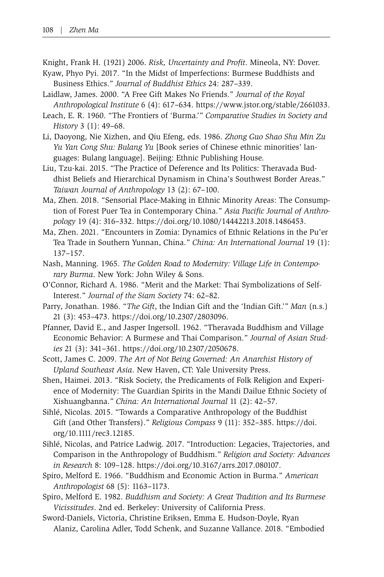Knight, Frank H. (1921) 2006. *Risk, Uncertainty and Profit*. Mineola, NY: Dover.

- Kyaw, Phyo Pyi. 2017. "In the Midst of Imperfections: Burmese Buddhists and Business Ethics." *Journal of Buddhist Ethics* 24: 287–339.
- Laidlaw, James. 2000. "A Free Gift Makes No Friends." *Journal of the Royal Anthropological Institute* 6 (4): 617–634. https://www.jstor.org/stable/2661033.
- Leach, E. R. 1960. "The Frontiers of 'Burma.'" *Comparative Studies in Society and History* 3 (1): 49–68.
- Li, Daoyong, Nie Xizhen, and Qiu Efeng, eds. 1986. *Zhong Guo Shao Shu Min Zu Yu Yan Cong Shu: Bulang Yu* [Book series of Chinese ethnic minorities' languages: Bulang language]. Beijing: Ethnic Publishing House.
- Liu, Tzu-kai. 2015. "The Practice of Deference and Its Politics: Theravada Buddhist Beliefs and Hierarchical Dynamism in China's Southwest Border Areas." *Taiwan Journal of Anthropology* 13 (2): 67–100.
- Ma, Zhen. 2018. "Sensorial Place-Making in Ethnic Minority Areas: The Consumption of Forest Puer Tea in Contemporary China." *Asia Pacific Journal of Anthropology* 19 (4): 316–332. https://doi.org/10.1080/14442213.2018.1486453.
- Ma, Zhen. 2021. "Encounters in Zomia: Dynamics of Ethnic Relations in the Pu'er Tea Trade in Southern Yunnan, China." *China: An International Journal* 19 (1): 137–157.
- Nash, Manning. 1965. *The Golden Road to Modernity: Village Life in Contemporary Burma*. New York: John Wiley & Sons.
- O'Connor, Richard A. 1986. "Merit and the Market: Thai Symbolizations of Self-Interest." *Journal of the Siam Society* 74: 62–82.
- Parry, Jonathan. 1986. "*The Gift*, the Indian Gift and the 'Indian Gift.'" *Man* (n.s.) 21 (3): 453–473. https://doi.org/10.2307/2803096.
- Pfanner, David E., and Jasper Ingersoll. 1962. "Theravada Buddhism and Village Economic Behavior: A Burmese and Thai Comparison." *Journal of Asian Studies* 21 (3): 341–361. https://doi.org/10.2307/2050678.
- Scott, James C. 2009. *The Art of Not Being Governed: An Anarchist History of Upland Southeast Asia*. New Haven, CT: Yale University Press.
- Shen, Haimei. 2013. "Risk Society, the Predicaments of Folk Religion and Experience of Modernity: The Guardian Spirits in the Mandi Dailue Ethnic Society of Xishuangbanna." *China: An International Journal* 11 (2): 42–57.
- Sihlé, Nicolas. 2015. "Towards a Comparative Anthropology of the Buddhist Gift (and Other Transfers)." *Religious Compass* 9 (11): 352–385. https://doi. org/10.1111/rec3.12185.
- Sihlé, Nicolas, and Patrice Ladwig. 2017. "Introduction: Legacies, Trajectories, and Comparison in the Anthropology of Buddhism." *Religion and Society: Advances in Research* 8: 109–128. https://doi.org/10.3167/arrs.2017.080107.
- Spiro, Melford E. 1966. "Buddhism and Economic Action in Burma." *American Anthropologist* 68 (5): 1163–1173.
- Spiro, Melford E. 1982. *Buddhism and Society: A Great Tradition and Its Burmese Vicissitudes*. 2nd ed. Berkeley: University of California Press.
- Sword-Daniels, Victoria, Christine Eriksen, Emma E. Hudson-Doyle, Ryan Alaniz, Carolina Adler, Todd Schenk, and Suzanne Vallance. 2018. "Embodied